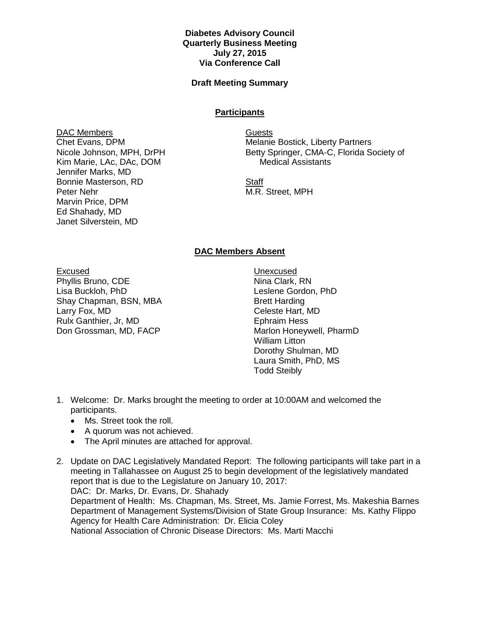## **Diabetes Advisory Council Quarterly Business Meeting July 27, 2015 Via Conference Call**

## **Draft Meeting Summary**

## **Participants**

DAC Members Chet Evans, DPM Nicole Johnson, MPH, DrPH Kim Marie, LAc, DAc, DOM Jennifer Marks, MD Bonnie Masterson, RD Peter Nehr Marvin Price, DPM Ed Shahady, MD Janet Silverstein, MD

Guests Melanie Bostick, Liberty Partners Betty Springer, CMA-C, Florida Society of Medical Assistants

**Staff** M.R. Street, MPH

## **DAC Members Absent**

Excused

Phyllis Bruno, CDE Lisa Buckloh, PhD Shay Chapman, BSN, MBA Larry Fox, MD Rulx Ganthier, Jr, MD Don Grossman, MD, FACP

Unexcused Nina Clark, RN Leslene Gordon, PhD Brett Harding Celeste Hart, MD Ephraim Hess Marlon Honeywell, PharmD William Litton Dorothy Shulman, MD Laura Smith, PhD, MS Todd Steibly

- 1. Welcome: Dr. Marks brought the meeting to order at 10:00AM and welcomed the participants.
	- Ms. Street took the roll.
	- A quorum was not achieved.
	- The April minutes are attached for approval.
- 2. Update on DAC Legislatively Mandated Report: The following participants will take part in a meeting in Tallahassee on August 25 to begin development of the legislatively mandated report that is due to the Legislature on January 10, 2017: DAC: Dr. Marks, Dr. Evans, Dr. Shahady Department of Health: Ms. Chapman, Ms. Street, Ms. Jamie Forrest, Ms. Makeshia Barnes Department of Management Systems/Division of State Group Insurance: Ms. Kathy Flippo Agency for Health Care Administration: Dr. Elicia Coley National Association of Chronic Disease Directors: Ms. Marti Macchi